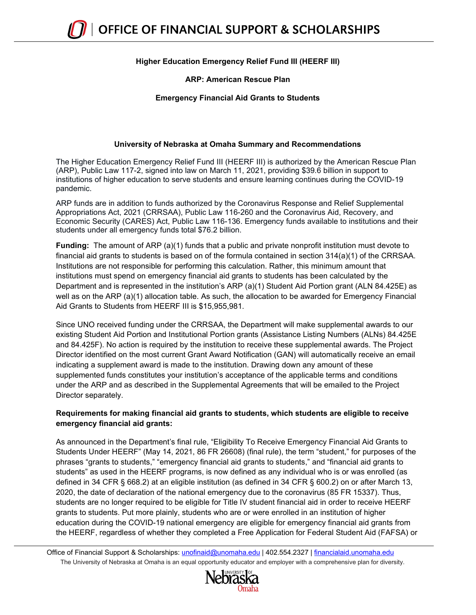## **Higher Education Emergency Relief Fund III (HEERF III)**

### **ARP: American Rescue Plan**

### **Emergency Financial Aid Grants to Students**

#### **University of Nebraska at Omaha Summary and Recommendations**

The Higher Education Emergency Relief Fund III (HEERF III) is authorized by the American Rescue Plan (ARP), Public Law 117-2, signed into law on March 11, 2021, providing \$39.6 billion in support to institutions of higher education to serve students and ensure learning continues during the COVID-19 pandemic.

ARP funds are in addition to funds authorized by the Coronavirus Response and Relief Supplemental Appropriations Act, 2021 (CRRSAA), Public Law 116-260 and the Coronavirus Aid, Recovery, and Economic Security (CARES) Act, Public Law 116-136. Emergency funds available to institutions and their students under all emergency funds total \$76.2 billion.

**Funding:** The amount of ARP (a)(1) funds that a public and private nonprofit institution must devote to financial aid grants to students is based on of the formula contained in section 314(a)(1) of the CRRSAA. Institutions are not responsible for performing this calculation. Rather, this minimum amount that institutions must spend on emergency financial aid grants to students has been calculated by the Department and is represented in the institution's ARP (a)(1) Student Aid Portion grant (ALN 84.425E) as well as on the ARP (a)(1) allocation table. As such, the allocation to be awarded for Emergency Financial Aid Grants to Students from HEERF III is \$15,955,981.

Since UNO received funding under the CRRSAA, the Department will make supplemental awards to our existing Student Aid Portion and Institutional Portion grants (Assistance Listing Numbers (ALNs) 84.425E and 84.425F). No action is required by the institution to receive these supplemental awards. The Project Director identified on the most current Grant Award Notification (GAN) will automatically receive an email indicating a supplement award is made to the institution. Drawing down any amount of these supplemented funds constitutes your institution's acceptance of the applicable terms and conditions under the ARP and as described in the Supplemental Agreements that will be emailed to the Project Director separately.

### **Requirements for making financial aid grants to students, which students are eligible to receive emergency financial aid grants:**

As announced in the Department's final rule, "Eligibility To Receive Emergency Financial Aid Grants to Students Under HEERF" (May 14, 2021, 86 FR 26608) (final rule), the term "student," for purposes of the phrases "grants to students," "emergency financial aid grants to students," and "financial aid grants to students" as used in the HEERF programs, is now defined as any individual who is or was enrolled (as defined in 34 CFR § 668.2) at an eligible institution (as defined in 34 CFR § 600.2) on or after March 13, 2020, the date of declaration of the national emergency due to the coronavirus (85 FR 15337). Thus, students are no longer required to be eligible for Title IV student financial aid in order to receive HEERF grants to students. Put more plainly, students who are or were enrolled in an institution of higher education during the COVID-19 national emergency are eligible for emergency financial aid grants from the HEERF, regardless of whether they completed a Free Application for Federal Student Aid (FAFSA) or

The University of Nebraska at Omaha is an equal opportunity educator and employer with a comprehensive plan for diversity. Office of Financial Support & Scholarships: [unofinaid@unomaha.edu](mailto:unofinaid@unomaha.edu) | 402.554.2327 | [financialaid.unomaha.edu](http://financialaid.unomaha.edu/)

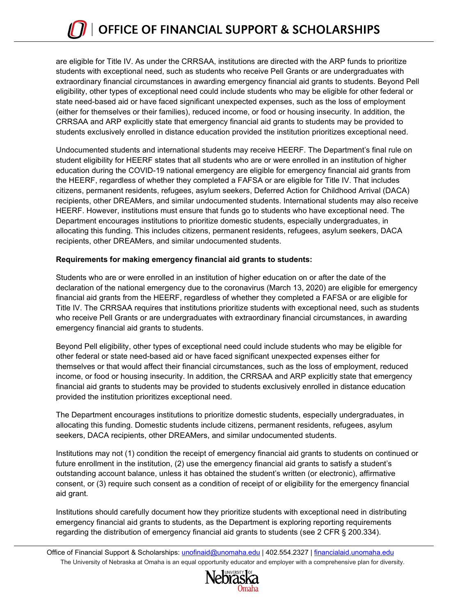are eligible for Title IV. As under the CRRSAA, institutions are directed with the ARP funds to prioritize students with exceptional need, such as students who receive Pell Grants or are undergraduates with extraordinary financial circumstances in awarding emergency financial aid grants to students. Beyond Pell eligibility, other types of exceptional need could include students who may be eligible for other federal or state need-based aid or have faced significant unexpected expenses, such as the loss of employment (either for themselves or their families), reduced income, or food or housing insecurity. In addition, the CRRSAA and ARP explicitly state that emergency financial aid grants to students may be provided to students exclusively enrolled in distance education provided the institution prioritizes exceptional need.

Undocumented students and international students may receive HEERF. The Department's final rule on student eligibility for HEERF states that all students who are or were enrolled in an institution of higher education during the COVID-19 national emergency are eligible for emergency financial aid grants from the HEERF, regardless of whether they completed a FAFSA or are eligible for Title IV. That includes citizens, permanent residents, refugees, asylum seekers, Deferred Action for Childhood Arrival (DACA) recipients, other DREAMers, and similar undocumented students. International students may also receive HEERF. However, institutions must ensure that funds go to students who have exceptional need. The Department encourages institutions to prioritize domestic students, especially undergraduates, in allocating this funding. This includes citizens, permanent residents, refugees, asylum seekers, DACA recipients, other DREAMers, and similar undocumented students.

### **Requirements for making emergency financial aid grants to students:**

Students who are or were enrolled in an institution of higher education on or after the date of the declaration of the national emergency due to the coronavirus (March 13, 2020) are eligible for emergency financial aid grants from the HEERF, regardless of whether they completed a FAFSA or are eligible for Title IV. The CRRSAA requires that institutions prioritize students with exceptional need, such as students who receive Pell Grants or are undergraduates with extraordinary financial circumstances, in awarding emergency financial aid grants to students.

Beyond Pell eligibility, other types of exceptional need could include students who may be eligible for other federal or state need-based aid or have faced significant unexpected expenses either for themselves or that would affect their financial circumstances, such as the loss of employment, reduced income, or food or housing insecurity. In addition, the CRRSAA and ARP explicitly state that emergency financial aid grants to students may be provided to students exclusively enrolled in distance education provided the institution prioritizes exceptional need.

The Department encourages institutions to prioritize domestic students, especially undergraduates, in allocating this funding. Domestic students include citizens, permanent residents, refugees, asylum seekers, DACA recipients, other DREAMers, and similar undocumented students.

Institutions may not (1) condition the receipt of emergency financial aid grants to students on continued or future enrollment in the institution, (2) use the emergency financial aid grants to satisfy a student's outstanding account balance, unless it has obtained the student's written (or electronic), affirmative consent, or (3) require such consent as a condition of receipt of or eligibility for the emergency financial aid grant.

Institutions should carefully document how they prioritize students with exceptional need in distributing emergency financial aid grants to students, as the Department is exploring reporting requirements regarding the distribution of emergency financial aid grants to students (see 2 CFR § 200.334).

The University of Nebraska at Omaha is an equal opportunity educator and employer with a comprehensive plan for diversity. Office of Financial Support & Scholarships: [unofinaid@unomaha.edu](mailto:unofinaid@unomaha.edu) | 402.554.2327 | [financialaid.unomaha.edu](http://financialaid.unomaha.edu/)

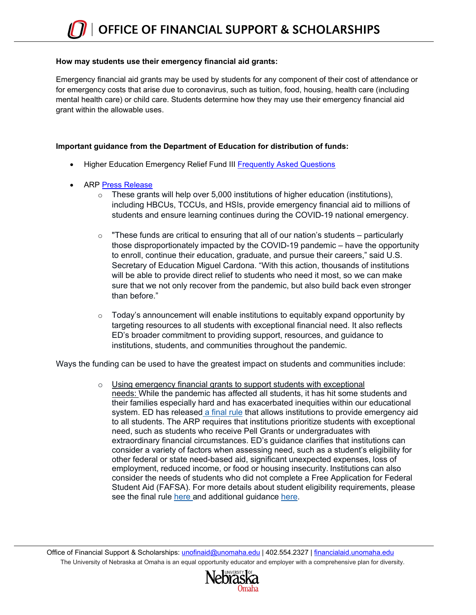#### **How may students use their emergency financial aid grants:**

Emergency financial aid grants may be used by students for any component of their cost of attendance or for emergency costs that arise due to coronavirus, such as tuition, food, housing, health care (including mental health care) or child care. Students determine how they may use their emergency financial aid grant within the allowable uses.

### **Important guidance from the Department of Education for distribution of funds:**

- Higher Education Emergency Relief Fund III [Frequently Asked Questions](https://www2.ed.gov/about/offices/list/ope/arpfaq.pdf?utm_content=&utm_medium=email&utm_name=&utm_source=govdelivery&utm_term=)
- ARP [Press Release](https://www.ed.gov/news/press-releases/us-department-education-makes-available-36-billion-american-rescue-plan-funds-support-students-and-institutions)
	- $\circ$  These grants will help over 5,000 institutions of higher education (institutions), including HBCUs, TCCUs, and HSIs, provide emergency financial aid to millions of students and ensure learning continues during the COVID-19 national emergency.
	- $\circ$  "These funds are critical to ensuring that all of our nation's students particularly those disproportionately impacted by the COVID-19 pandemic – have the opportunity to enroll, continue their education, graduate, and pursue their careers," said U.S. Secretary of Education Miguel Cardona. "With this action, thousands of institutions will be able to provide direct relief to students who need it most, so we can make sure that we not only recover from the pandemic, but also build back even stronger than before."
	- $\circ$  Today's announcement will enable institutions to equitably expand opportunity by targeting resources to all students with exceptional financial need. It also reflects ED's broader commitment to providing support, resources, and guidance to institutions, students, and communities throughout the pandemic.

Ways the funding can be used to have the greatest impact on students and communities include:

o Using emergency financial grants to support students with exceptional needs: While the pandemic has affected all students, it has hit some students and their families especially hard and has exacerbated inequities within our educational system. ED has release[d](https://lnks.gd/l/eyJhbGciOiJIUzI1NiJ9.eyJidWxsZXRpbl9saW5rX2lkIjoxMDIsInVyaSI6ImJwMjpjbGljayIsImJ1bGxldGluX2lkIjoiMjAyMTA1MTEuNDAyNDkzODEiLCJ1cmwiOiJodHRwczovL3d3dzIuZWQuZ292L2Fib3V0L29mZmljZXMvbGlzdC9vcGUvZmluYWxoZXJmbmZyLnBkZj91dG1fY29udGVudD0mdXRtX21lZGl1bT1lbWFpbCZ1dG1fbmFtZT0mdXRtX3NvdXJjZT1nb3ZkZWxpdmVyeSZ1dG1fdGVybT0ifQ.OYUoLVZe8sN5W8x-IkJ4KnfBSOy9PoalEjnXddNOQYY/s/1441582011/br/106161016374-l) [a final rule](https://lnks.gd/l/eyJhbGciOiJIUzI1NiJ9.eyJidWxsZXRpbl9saW5rX2lkIjoxMDMsInVyaSI6ImJwMjpjbGljayIsImJ1bGxldGluX2lkIjoiMjAyMTA1MTEuNDAyNDkzODEiLCJ1cmwiOiJodHRwczovL3d3dzIuZWQuZ292L2Fib3V0L29mZmljZXMvbGlzdC9vcGUvZmluYWxoZWVyZm5mci5wZGY_dXRtX2NvbnRlbnQ9JnV0bV9tZWRpdW09ZW1haWwmdXRtX25hbWU9JnV0bV9zb3VyY2U9Z292ZGVsaXZlcnkmdXRtX3Rlcm09In0.4_RT7MbOgIu3SZsjMPEEqemREgjLkzpyCNWmfrd59L0/s/1441582011/br/106161016374-l) that allows institutions to provide emergency aid to all students. The ARP requires that institutions prioritize students with exceptional need, such as students who receive Pell Grants or undergraduates with extraordinary financial circumstances. ED's guidance clarifies that institutions can consider a variety of factors when assessing need, such as a student's eligibility for other federal or state need-based aid, significant unexpected expenses, loss of employment, reduced income, or food or housing insecurity. Institutions can also consider the needs of students who did not complete a Free Application for Federal Student Aid (FAFSA). For more details about student eligibility requirements, please see the final rule [here](https://lnks.gd/l/eyJhbGciOiJIUzI1NiJ9.eyJidWxsZXRpbl9saW5rX2lkIjoxMDQsInVyaSI6ImJwMjpjbGljayIsImJ1bGxldGluX2lkIjoiMjAyMTA1MTEuNDAyNDkzODEiLCJ1cmwiOiJodHRwczovL3d3dzIuZWQuZ292L2Fib3V0L29mZmljZXMvbGlzdC9vcGUvZmluYWxoZWVyZm5mci5wZGY_dXRtX2NvbnRlbnQ9JnV0bV9tZWRpdW09ZW1haWwmdXRtX25hbWU9JnV0bV9zb3VyY2U9Z292ZGVsaXZlcnkmdXRtX3Rlcm09In0.mUiyROlbU7NcGN3lWiTBsV81J8mc0O9vFpRSKCgyOhs/s/1441582011/br/106161016374-l) and additional guidance [here.](https://lnks.gd/l/eyJhbGciOiJIUzI1NiJ9.eyJidWxsZXRpbl9saW5rX2lkIjoxMDUsInVyaSI6ImJwMjpjbGljayIsImJ1bGxldGluX2lkIjoiMjAyMTA1MTEuNDAyNDkzODEiLCJ1cmwiOiJodHRwczovL3d3dzIuZWQuZ292L2Fib3V0L29mZmljZXMvbGlzdC9vcGUvYXJwZmFxLnBkZj91dG1fY29udGVudD0mdXRtX21lZGl1bT1lbWFpbCZ1dG1fbmFtZT0mdXRtX3NvdXJjZT1nb3ZkZWxpdmVyeSZ1dG1fdGVybT0ifQ.6Dtp3eWTKYYdYOa-qb54Y-AEO9AZmKMLJhS5L50jKDs/s/1441582011/br/106161016374-l)

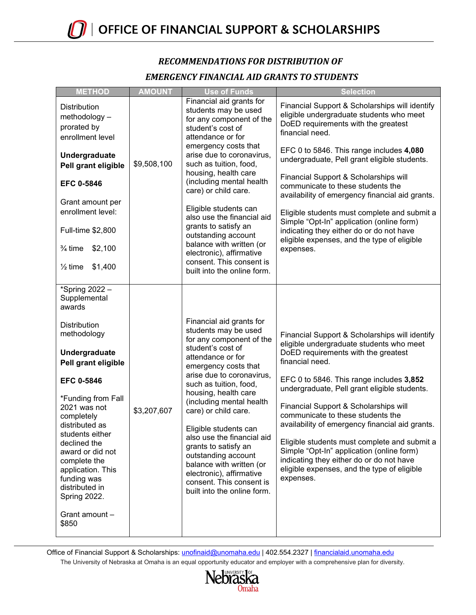# *RECOMMENDATIONS FOR DISTRIBUTION OF EMERGENCY FINANCIAL AID GRANTS TO STUDENTS*

| <b>METHOD</b>                                                                                                                                                                                                                                                                                                                                                                             | <b>AMOUNT</b> | <b>Use of Funds</b>                                                                                                                                                                                                                                                                                                                                                                                                                                                                                        | <b>Selection</b>                                                                                                                                                                                                                                                                                                                                                                                                                                                                                                                                                                       |
|-------------------------------------------------------------------------------------------------------------------------------------------------------------------------------------------------------------------------------------------------------------------------------------------------------------------------------------------------------------------------------------------|---------------|------------------------------------------------------------------------------------------------------------------------------------------------------------------------------------------------------------------------------------------------------------------------------------------------------------------------------------------------------------------------------------------------------------------------------------------------------------------------------------------------------------|----------------------------------------------------------------------------------------------------------------------------------------------------------------------------------------------------------------------------------------------------------------------------------------------------------------------------------------------------------------------------------------------------------------------------------------------------------------------------------------------------------------------------------------------------------------------------------------|
| <b>Distribution</b><br>methodology -<br>prorated by<br>enrollment level                                                                                                                                                                                                                                                                                                                   |               | Financial aid grants for<br>students may be used<br>for any component of the<br>student's cost of<br>attendance or for                                                                                                                                                                                                                                                                                                                                                                                     | Financial Support & Scholarships will identify<br>eligible undergraduate students who meet<br>DoED requirements with the greatest<br>financial need.                                                                                                                                                                                                                                                                                                                                                                                                                                   |
| Undergraduate<br>Pell grant eligible<br><b>EFC 0-5846</b><br>Grant amount per<br>enrollment level:<br>Full-time \$2,800<br>$\frac{3}{4}$ time<br>\$2,100<br>\$1,400<br>$\frac{1}{2}$ time                                                                                                                                                                                                 | \$9,508,100   | emergency costs that<br>arise due to coronavirus,<br>such as tuition, food,<br>housing, health care<br>(including mental health<br>care) or child care.<br>Eligible students can<br>also use the financial aid<br>grants to satisfy an<br>outstanding account<br>balance with written (or<br>electronic), affirmative<br>consent. This consent is<br>built into the online form.                                                                                                                           | EFC 0 to 5846. This range includes 4,080<br>undergraduate, Pell grant eligible students.<br>Financial Support & Scholarships will<br>communicate to these students the<br>availability of emergency financial aid grants.<br>Eligible students must complete and submit a<br>Simple "Opt-In" application (online form)<br>indicating they either do or do not have<br>eligible expenses, and the type of eligible<br>expenses.                                                                                                                                                         |
| *Spring 2022 -<br>Supplemental<br>awards<br><b>Distribution</b><br>methodology<br>Undergraduate<br>Pell grant eligible<br><b>EFC 0-5846</b><br>*Funding from Fall<br>2021 was not<br>completely<br>distributed as<br>students either<br>declined the<br>award or did not<br>complete the<br>application. This<br>funding was<br>distributed in<br>Spring 2022.<br>Grant amount -<br>\$850 | \$3,207,607   | Financial aid grants for<br>students may be used<br>for any component of the<br>student's cost of<br>attendance or for<br>emergency costs that<br>arise due to coronavirus,<br>such as tuition, food,<br>housing, health care<br>(including mental health<br>care) or child care.<br>Eligible students can<br>also use the financial aid<br>grants to satisfy an<br>outstanding account<br>balance with written (or<br>electronic), affirmative<br>consent. This consent is<br>built into the online form. | Financial Support & Scholarships will identify<br>eligible undergraduate students who meet<br>DoED requirements with the greatest<br>financial need.<br>EFC 0 to 5846. This range includes 3,852<br>undergraduate, Pell grant eligible students.<br>Financial Support & Scholarships will<br>communicate to these students the<br>availability of emergency financial aid grants.<br>Eligible students must complete and submit a<br>Simple "Opt-In" application (online form)<br>indicating they either do or do not have<br>eligible expenses, and the type of eligible<br>expenses. |

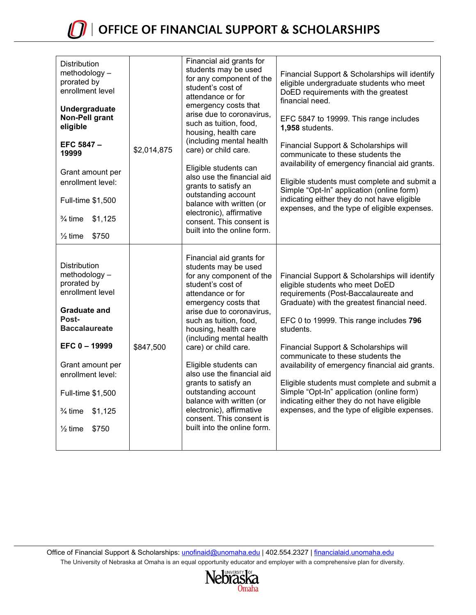| <b>Distribution</b><br>methodology -<br>prorated by<br>enrollment level<br>Undergraduate<br>Non-Pell grant<br>eligible<br>EFC 5847 -<br>19999<br>Grant amount per<br>enrollment level:<br>Full-time \$1,500<br>$\frac{3}{4}$ time<br>\$1,125<br>$\frac{1}{2}$ time<br>\$750  | \$2,014,875 | Financial aid grants for<br>students may be used<br>for any component of the<br>student's cost of<br>attendance or for<br>emergency costs that<br>arise due to coronavirus,<br>such as tuition, food,<br>housing, health care<br>(including mental health<br>care) or child care.<br>Eligible students can<br>also use the financial aid<br>grants to satisfy an<br>outstanding account<br>balance with written (or<br>electronic), affirmative<br>consent. This consent is<br>built into the online form. | Financial Support & Scholarships will identify<br>eligible undergraduate students who meet<br>DoED requirements with the greatest<br>financial need.<br>EFC 5847 to 19999. This range includes<br>1,958 students.<br>Financial Support & Scholarships will<br>communicate to these students the<br>availability of emergency financial aid grants.<br>Eligible students must complete and submit a<br>Simple "Opt-In" application (online form)<br>indicating either they do not have eligible<br>expenses, and the type of eligible expenses.                |
|------------------------------------------------------------------------------------------------------------------------------------------------------------------------------------------------------------------------------------------------------------------------------|-------------|------------------------------------------------------------------------------------------------------------------------------------------------------------------------------------------------------------------------------------------------------------------------------------------------------------------------------------------------------------------------------------------------------------------------------------------------------------------------------------------------------------|---------------------------------------------------------------------------------------------------------------------------------------------------------------------------------------------------------------------------------------------------------------------------------------------------------------------------------------------------------------------------------------------------------------------------------------------------------------------------------------------------------------------------------------------------------------|
| <b>Distribution</b><br>methodology -<br>prorated by<br>enrollment level<br><b>Graduate and</b><br>Post-<br><b>Baccalaureate</b><br>EFC 0-19999<br>Grant amount per<br>enrollment level:<br>Full-time \$1,500<br>$\frac{3}{4}$ time<br>\$1,125<br>\$750<br>$\frac{1}{2}$ time | \$847,500   | Financial aid grants for<br>students may be used<br>for any component of the<br>student's cost of<br>attendance or for<br>emergency costs that<br>arise due to coronavirus,<br>such as tuition, food,<br>housing, health care<br>(including mental health<br>care) or child care.<br>Eligible students can<br>also use the financial aid<br>grants to satisfy an<br>outstanding account<br>balance with written (or<br>electronic), affirmative<br>consent. This consent is<br>built into the online form. | Financial Support & Scholarships will identify<br>eligible students who meet DoED<br>requirements (Post-Baccalaureate and<br>Graduate) with the greatest financial need.<br>EFC 0 to 19999. This range includes 796<br>students.<br>Financial Support & Scholarships will<br>communicate to these students the<br>availability of emergency financial aid grants.<br>Eligible students must complete and submit a<br>Simple "Opt-In" application (online form)<br>indicating either they do not have eligible<br>expenses, and the type of eligible expenses. |